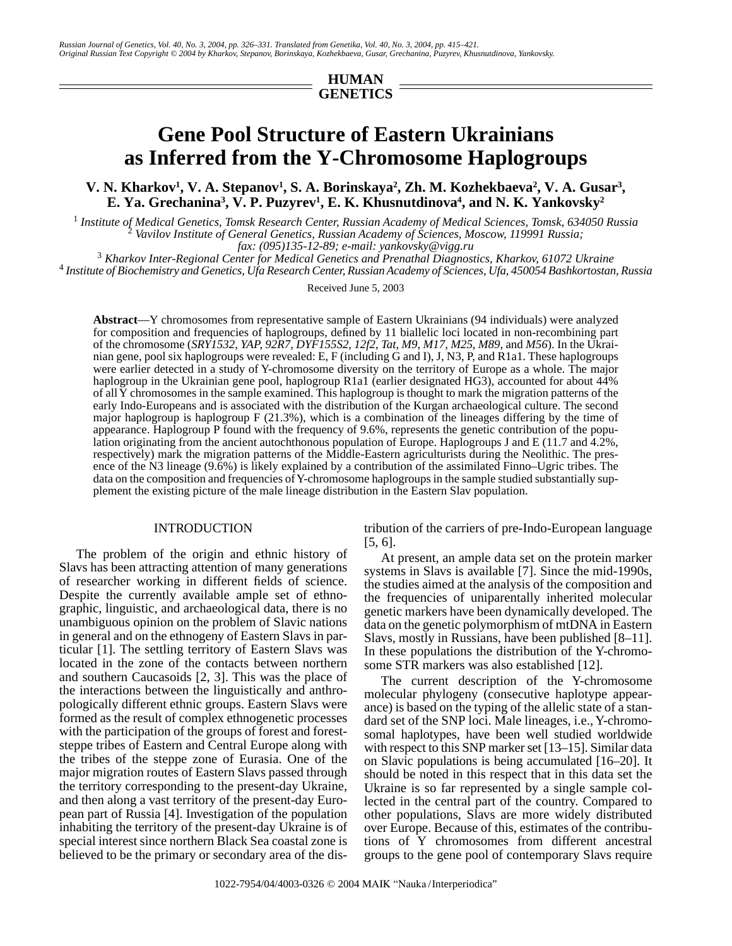*Russian Journal of Genetics, Vol. 40, No. 3, 2004, pp. 326–331. Translated from Genetika, Vol. 40, No. 3, 2004, pp. 415–421. Original Russian Text Copyright © 2004 by Kharkov, Stepanov, Borinskaya, Kozhekbaeva, Gusar, Grechanina, Puzyrev, Khusnutdinova, Yankovsky.*

## **HUMAN GENETICS**

# **Gene Pool Structure of Eastern Ukrainians as Inferred from the Y-Chromosome Haplogroups**

**V. N. Kharkov<sup>1</sup>, V. A. Stepanov<sup>1</sup>, S. A. Borinskaya<sup>2</sup>, Zh. M. Kozhekbaeva<sup>2</sup>, V. A. Gusar<sup>3</sup>, E. Ya. Grechanina3 , V. P. Puzyrev1 , E. K. Khusnutdinova4 , and N. K. Yankovsky2**

<sup>1</sup> Institute of Medical Genetics, Tomsk Research Center, Russian Academy of Medical Sciences, Tomsk, 634050 Russia<br><sup>2</sup> Vavilov Institute of General Genetics, Russian Academy of Sciences, Moscow, 119991 Russia  *Vavilov Institute of General Genetics, Russian Academy of Sciences, Moscow, 119991 Russia;* 

*fax: (095)135-12-89; e-mail: yankovsky@vigg.ru* <sup>3</sup>

 *Kharkov Inter-Regional Center for Medical Genetics and Prenathal Diagnostics, Kharkov, 61072 Ukraine* <sup>4</sup>  *Institute of Biochemistry and Genetics, Ufa Research Center, Russian Academy of Sciences, Ufa, 450054 Bashkortostan, Russia*

Received June 5, 2003

**Abstract**—Y chromosomes from representative sample of Eastern Ukrainians (94 individuals) were analyzed for composition and frequencies of haplogroups, defined by 11 biallelic loci located in non-recombining part of the chromosome (*SRY1532*, *YAP*, *92R7*, *DYF155S2*, *12f2*, *Tat*, *M9*, *M17*, *M25*, *M89*, and *M56*). In the Ukrainian gene, pool six haplogroups were revealed: E, F (including G and I), J, N3, P, and R1a1. These haplogroups were earlier detected in a study of Y-chromosome diversity on the territory of Europe as a whole. The major haplogroup in the Ukrainian gene pool, haplogroup R1a1 (earlier designated HG3), accounted for about 44% of all Y chromosomes in the sample examined. This haplogroup is thought to mark the migration patterns of the early Indo-Europeans and is associated with the distribution of the Kurgan archaeological culture. The second major haplogroup is haplogroup  $F(21.3\%)$ , which is a combination of the lineages differing by the time of appearance. Haplogroup P found with the frequency of 9.6%, represents the genetic contribution of the population originating from the ancient autochthonous population of Europe. Haplogroups J and E (11.7 and 4.2%, respectively) mark the migration patterns of the Middle-Eastern agriculturists during the Neolithic. The presence of the N3 lineage (9.6%) is likely explained by a contribution of the assimilated Finno–Ugric tribes. The data on the composition and frequencies of Y-chromosome haplogroups in the sample studied substantially supplement the existing picture of the male lineage distribution in the Eastern Slav population.

### INTRODUCTION

The problem of the origin and ethnic history of Slavs has been attracting attention of many generations of researcher working in different fields of science. Despite the currently available ample set of ethnographic, linguistic, and archaeological data, there is no unambiguous opinion on the problem of Slavic nations in general and on the ethnogeny of Eastern Slavs in particular [1]. The settling territory of Eastern Slavs was located in the zone of the contacts between northern and southern Caucasoids [2, 3]. This was the place of the interactions between the linguistically and anthropologically different ethnic groups. Eastern Slavs were formed as the result of complex ethnogenetic processes with the participation of the groups of forest and foreststeppe tribes of Eastern and Central Europe along with the tribes of the steppe zone of Eurasia. One of the major migration routes of Eastern Slavs passed through the territory corresponding to the present-day Ukraine, and then along a vast territory of the present-day European part of Russia [4]. Investigation of the population inhabiting the territory of the present-day Ukraine is of special interest since northern Black Sea coastal zone is believed to be the primary or secondary area of the distribution of the carriers of pre-Indo-European language [5, 6].

At present, an ample data set on the protein marker systems in Slavs is available [7]. Since the mid-1990s, the studies aimed at the analysis of the composition and the frequencies of uniparentally inherited molecular genetic markers have been dynamically developed. The data on the genetic polymorphism of mtDNA in Eastern Slavs, mostly in Russians, have been published [8–11]. In these populations the distribution of the Y-chromosome STR markers was also established [12].

The current description of the Y-chromosome molecular phylogeny (consecutive haplotype appearance) is based on the typing of the allelic state of a standard set of the SNP loci. Male lineages, i.e., Y-chromosomal haplotypes, have been well studied worldwide with respect to this SNP marker set [13–15]. Similar data on Slavic populations is being accumulated [16–20]. It should be noted in this respect that in this data set the Ukraine is so far represented by a single sample collected in the central part of the country. Compared to other populations, Slavs are more widely distributed over Europe. Because of this, estimates of the contributions of Y chromosomes from different ancestral groups to the gene pool of contemporary Slavs require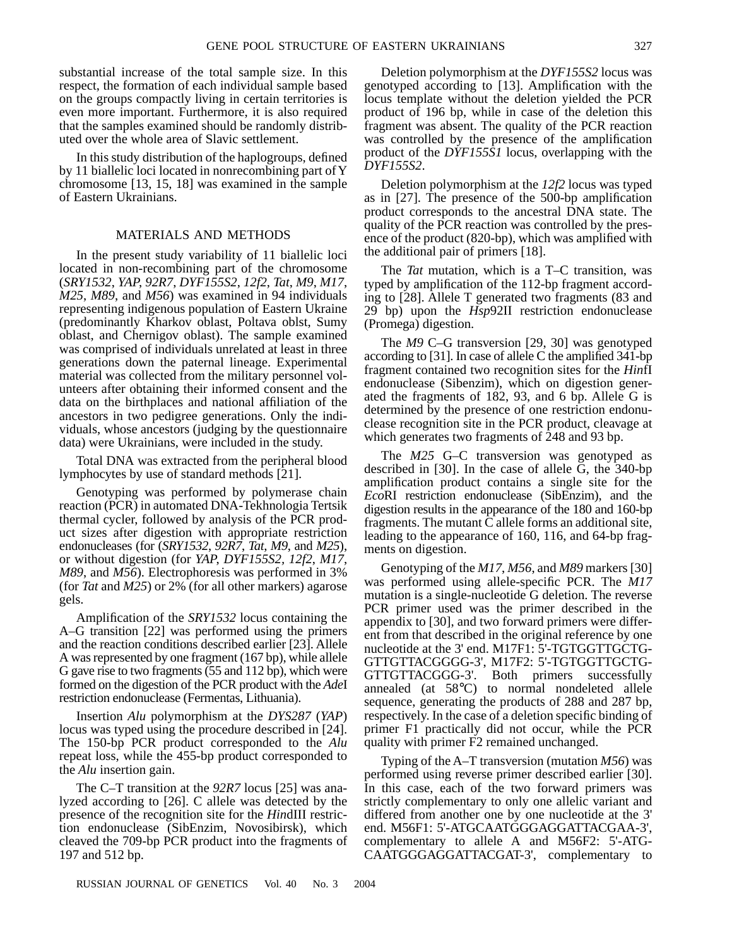substantial increase of the total sample size. In this respect, the formation of each individual sample based on the groups compactly living in certain territories is even more important. Furthermore, it is also required that the samples examined should be randomly distributed over the whole area of Slavic settlement.

In this study distribution of the haplogroups, defined by 11 biallelic loci located in nonrecombining part of Y chromosome [13, 15, 18] was examined in the sample of Eastern Ukrainians.

#### MATERIALS AND METHODS

In the present study variability of 11 biallelic loci located in non-recombining part of the chromosome (*SRY1532*, *YAP*, *92R7*, *DYF155S2*, *12f2*, *Tat*, *M9*, *M17*, *M25*, *M89*, and *M56*) was examined in 94 individuals representing indigenous population of Eastern Ukraine (predominantly Kharkov oblast, Poltava oblst, Sumy oblast, and Chernigov oblast). The sample examined was comprised of individuals unrelated at least in three generations down the paternal lineage. Experimental material was collected from the military personnel volunteers after obtaining their informed consent and the data on the birthplaces and national affiliation of the ancestors in two pedigree generations. Only the individuals, whose ancestors (judging by the questionnaire data) were Ukrainians, were included in the study.

Total DNA was extracted from the peripheral blood lymphocytes by use of standard methods [21].

Genotyping was performed by polymerase chain reaction (PCR) in automated DNA-Tekhnologia Tertsik thermal cycler, followed by analysis of the PCR product sizes after digestion with appropriate restriction endonucleases (for (*SRY1532*, *92R7*, *Tat*, *M9*, and *M25*), or without digestion (for *YAP*, *DYF155S2, 12f2*, *M17*, *M89*, and *M56*). Electrophoresis was performed in 3% (for *Tat* and *M25*) or 2% (for all other markers) agarose gels.

Amplification of the *SRY1532* locus containing the A–G transition [22] was performed using the primers and the reaction conditions described earlier [23]. Allele A was represented by one fragment (167 bp), while allele G gave rise to two fragments (55 and 112 bp), which were formed on the digestion of the PCR product with the *Ade*I restriction endonuclease (Fermentas, Lithuania).

Insertion *Alu* polymorphism at the *DYS287* (*YAP*) locus was typed using the procedure described in [24]. The 150-bp PCR product corresponded to the *Alu* repeat loss, while the 455-bp product corresponded to the *Alu* insertion gain.

The C–T transition at the *92R7* locus [25] was analyzed according to [26]. C allele was detected by the presence of the recognition site for the *Hin*dIII restriction endonuclease (SibEnzim, Novosibirsk), which cleaved the 709-bp PCR product into the fragments of 197 and 512 bp.

RUSSIAN JOURNAL OF GENETICS Vol. 40 No. 3 2004

Deletion polymorphism at the *DYF155S2* locus was genotyped according to [13]. Amplification with the locus template without the deletion yielded the PCR product of 196 bp, while in case of the deletion this fragment was absent. The quality of the PCR reaction was controlled by the presence of the amplification product of the *DYF155S1* locus, overlapping with the *DYF155S2*.

Deletion polymorphism at the *12f2* locus was typed as in [27]. The presence of the 500-bp amplification product corresponds to the ancestral DNA state. The quality of the PCR reaction was controlled by the presence of the product (820-bp), which was amplified with the additional pair of primers [18].

The *Tat* mutation, which is a T–C transition, was typed by amplification of the 112-bp fragment according to [28]. Allele T generated two fragments (83 and 29 bp) upon the *Hsp*92II restriction endonuclease (Promega) digestion.

The *M9* C–G transversion [29, 30] was genotyped according to [31]. In case of allele C the amplified 341-bp fragment contained two recognition sites for the *Hin*fI endonuclease (Sibenzim), which on digestion generated the fragments of 182, 93, and 6 bp. Allele G is determined by the presence of one restriction endonuclease recognition site in the PCR product, cleavage at which generates two fragments of 248 and 93 bp.

The *M25* G–C transversion was genotyped as described in [30]. In the case of allele G, the 340-bp amplification product contains a single site for the *Eco*RI restriction endonuclease (SibEnzim), and the digestion results in the appearance of the 180 and 160-bp fragments. The mutant C allele forms an additional site, leading to the appearance of 160, 116, and 64-bp fragments on digestion.

Genotyping of the *M17*, *M56*, and *M89* markers [30] was performed using allele-specific PCR. The *M17* mutation is a single-nucleotide G deletion. The reverse PCR primer used was the primer described in the appendix to [30], and two forward primers were different from that described in the original reference by one nucleotide at the 3' end. M17F1: 5'-TGTGGTTGCTG-GTTGTTACGGGG-3', M17F2: 5'-TGTGGTTGCTG-GTTGTTACGGG-3'. Both primers successfully annealed (at 58°C) to normal nondeleted allele sequence, generating the products of 288 and 287 bp, respectively. In the case of a deletion specific binding of primer F1 practically did not occur, while the PCR quality with primer F2 remained unchanged.

Typing of the A–T transversion (mutation *M56*) was performed using reverse primer described earlier [30]. In this case, each of the two forward primers was strictly complementary to only one allelic variant and differed from another one by one nucleotide at the 3' end. M56F1: 5'-ATGCAATGGGAGGATTACGAA-3', complementary to allele A and M56F2: 5'-ATG-CAATGGGAGGATTACGAT-3', complementary to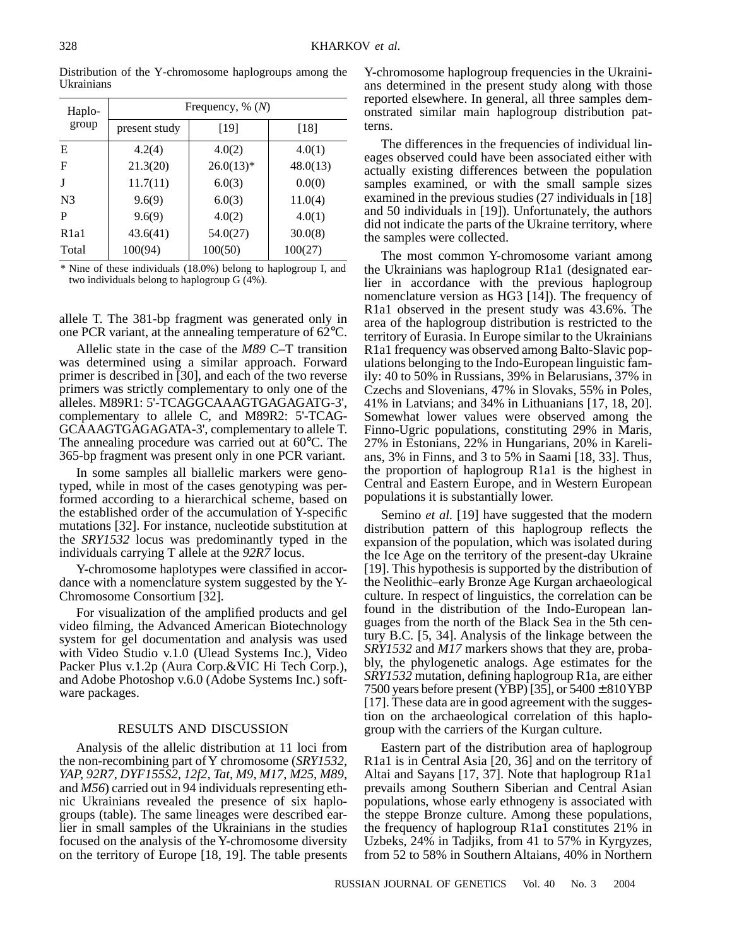| Haplo-<br>group | Frequency, $\%$ $(N)$ |             |          |
|-----------------|-----------------------|-------------|----------|
|                 | present study         | [19]        | [18]     |
| E               | 4.2(4)                | 4.0(2)      | 4.0(1)   |
| F               | 21.3(20)              | $26.0(13)*$ | 48.0(13) |
|                 | 11.7(11)              | 6.0(3)      | 0.0(0)   |
| N <sub>3</sub>  | 9.6(9)                | 6.0(3)      | 11.0(4)  |
| P               | 9.6(9)                | 4.0(2)      | 4.0(1)   |
| R1a1            | 43.6(41)              | 54.0(27)    | 30.0(8)  |
| Total           | 100(94)               | 100(50)     | 100(27)  |

Distribution of the Y-chromosome haplogroups among the Ukrainians

\* Nine of these individuals (18.0%) belong to haplogroup I, and two individuals belong to haplogroup  $G(\bar{4}\%)$ .

allele T. The 381-bp fragment was generated only in one PCR variant, at the annealing temperature of 62°C.

Allelic state in the case of the *M89* C–T transition was determined using a similar approach. Forward primer is described in [30], and each of the two reverse primers was strictly complementary to only one of the alleles. M89R1: 5'-TCAGGCAAAGTGAGAGATG-3', complementary to allele C, and M89R2: 5'-TCAG-GCAAAGTGAGAGATA-3', complementary to allele T. The annealing procedure was carried out at 60°C. The 365-bp fragment was present only in one PCR variant.

In some samples all biallelic markers were genotyped, while in most of the cases genotyping was performed according to a hierarchical scheme, based on the established order of the accumulation of Y-specific mutations [32]. For instance, nucleotide substitution at the *SRY1532* locus was predominantly typed in the individuals carrying T allele at the *92R7* locus.

Y-chromosome haplotypes were classified in accordance with a nomenclature system suggested by the Y-Chromosome Consortium [32].

For visualization of the amplified products and gel video filming, the Advanced American Biotechnology system for gel documentation and analysis was used with Video Studio v.1.0 (Ulead Systems Inc.), Video Packer Plus v.1.2p (Aura Corp.&VIC Hi Tech Corp.), and Adobe Photoshop v.6.0 (Adobe Systems Inc.) software packages.

#### RESULTS AND DISCUSSION

Analysis of the allelic distribution at 11 loci from the non-recombining part of Y chromosome (*SRY1532*, *YAP*, *92R7*, *DYF155S2*, *12f2*, *Tat*, *M9*, *M17*, *M25*, *M89*, and *M56*) carried out in 94 individuals representing ethnic Ukrainians revealed the presence of six haplogroups (table). The same lineages were described earlier in small samples of the Ukrainians in the studies focused on the analysis of the Y-chromosome diversity on the territory of Europe [18, 19]. The table presents Y-chromosome haplogroup frequencies in the Ukrainians determined in the present study along with those reported elsewhere. In general, all three samples demonstrated similar main haplogroup distribution patterns.

The differences in the frequencies of individual lineages observed could have been associated either with actually existing differences between the population samples examined, or with the small sample sizes examined in the previous studies (27 individuals in [18] and 50 individuals in [19]). Unfortunately, the authors did not indicate the parts of the Ukraine territory, where the samples were collected.

The most common Y-chromosome variant among the Ukrainians was haplogroup R1a1 (designated earlier in accordance with the previous haplogroup nomenclature version as HG3 [14]). The frequency of R1a1 observed in the present study was 43.6%. The area of the haplogroup distribution is restricted to the territory of Eurasia. In Europe similar to the Ukrainians R1a1 frequency was observed among Balto-Slavic populations belonging to the Indo-European linguistic family: 40 to 50% in Russians, 39% in Belarusians, 37% in Czechs and Slovenians, 47% in Slovaks, 55% in Poles, 41% in Latvians; and 34% in Lithuanians [17, 18, 20]. Somewhat lower values were observed among the Finno-Ugric populations, constituting 29% in Maris, 27% in Estonians, 22% in Hungarians, 20% in Karelians, 3% in Finns, and 3 to 5% in Saami [18, 33]. Thus, the proportion of haplogroup R1a1 is the highest in Central and Eastern Europe, and in Western European populations it is substantially lower.

Semino *et al.* [19] have suggested that the modern distribution pattern of this haplogroup reflects the expansion of the population, which was isolated during the Ice Age on the territory of the present-day Ukraine [19]. This hypothesis is supported by the distribution of the Neolithic–early Bronze Age Kurgan archaeological culture. In respect of linguistics, the correlation can be found in the distribution of the Indo-European languages from the north of the Black Sea in the 5th century B.C. [5, 34]. Analysis of the linkage between the *SRY1532* and *M17* markers shows that they are, probably, the phylogenetic analogs. Age estimates for the *SRY1532* mutation, defining haplogroup R1a, are either 7500 years before present (YBP) [35], or  $5400 \pm 810$  YBP [17]. These data are in good agreement with the suggestion on the archaeological correlation of this haplogroup with the carriers of the Kurgan culture.

Eastern part of the distribution area of haplogroup R1a1 is in Central Asia [20, 36] and on the territory of Altai and Sayans [17, 37]. Note that haplogroup R1a1 prevails among Southern Siberian and Central Asian populations, whose early ethnogeny is associated with the steppe Bronze culture. Among these populations, the frequency of haplogroup R1a1 constitutes 21% in Uzbeks, 24% in Tadjiks, from 41 to 57% in Kyrgyzes, from 52 to 58% in Southern Altaians, 40% in Northern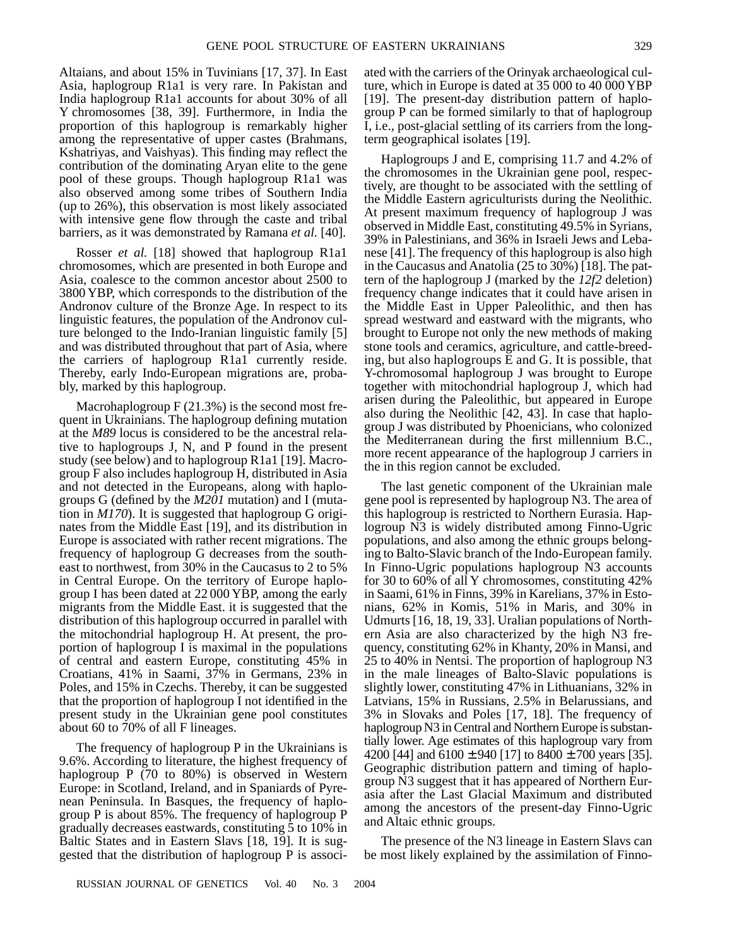Altaians, and about 15% in Tuvinians [17, 37]. In East Asia, haplogroup R1a1 is very rare. In Pakistan and India haplogroup R1a1 accounts for about 30% of all Y chromosomes [38, 39]. Furthermore, in India the proportion of this haplogroup is remarkably higher among the representative of upper castes (Brahmans, Kshatriyas, and Vaishyas). This finding may reflect the contribution of the dominating Aryan elite to the gene pool of these groups. Though haplogroup R1a1 was also observed among some tribes of Southern India (up to 26%), this observation is most likely associated with intensive gene flow through the caste and tribal barriers, as it was demonstrated by Ramana *et al.* [40].

Rosser *et al.* [18] showed that haplogroup R1a1 chromosomes, which are presented in both Europe and Asia, coalesce to the common ancestor about 2500 to 3800 YBP, which corresponds to the distribution of the Andronov culture of the Bronze Age. In respect to its linguistic features, the population of the Andronov culture belonged to the Indo-Iranian linguistic family [5] and was distributed throughout that part of Asia, where the carriers of haplogroup R1a1 currently reside. Thereby, early Indo-European migrations are, probably, marked by this haplogroup.

Macrohaplogroup  $F(21.3%)$  is the second most frequent in Ukrainians. The haplogroup defining mutation at the *M89* locus is considered to be the ancestral relative to haplogroups J, N, and P found in the present study (see below) and to haplogroup R1a1 [19]. Macrogroup F also includes haplogroup H, distributed in Asia and not detected in the Europeans, along with haplogroups G (defined by the *M201* mutation) and I (mutation in *M170*). It is suggested that haplogroup G originates from the Middle East [19], and its distribution in Europe is associated with rather recent migrations. The frequency of haplogroup G decreases from the southeast to northwest, from 30% in the Caucasus to 2 to 5% in Central Europe. On the territory of Europe haplogroup I has been dated at 22 000 YBP, among the early migrants from the Middle East. it is suggested that the distribution of this haplogroup occurred in parallel with the mitochondrial haplogroup H. At present, the proportion of haplogroup I is maximal in the populations of central and eastern Europe, constituting 45% in Croatians, 41% in Saami, 37% in Germans, 23% in Poles, and 15% in Czechs. Thereby, it can be suggested that the proportion of haplogroup I not identified in the present study in the Ukrainian gene pool constitutes about 60 to 70% of all F lineages.

The frequency of haplogroup P in the Ukrainians is 9.6%. According to literature, the highest frequency of haplogroup P (70 to 80%) is observed in Western Europe: in Scotland, Ireland, and in Spaniards of Pyrenean Peninsula. In Basques, the frequency of haplogroup P is about 85%. The frequency of haplogroup P gradually decreases eastwards, constituting 5 to 10% in Baltic States and in Eastern Slavs [18, 19]. It is suggested that the distribution of haplogroup P is associ-

RUSSIAN JOURNAL OF GENETICS Vol. 40 No. 3 2004

ated with the carriers of the Orinyak archaeological culture, which in Europe is dated at 35 000 to 40 000 YBP [19]. The present-day distribution pattern of haplogroup P can be formed similarly to that of haplogroup I, i.e., post-glacial settling of its carriers from the longterm geographical isolates [19].

Haplogroups J and E, comprising 11.7 and 4.2% of the chromosomes in the Ukrainian gene pool, respectively, are thought to be associated with the settling of the Middle Eastern agriculturists during the Neolithic. At present maximum frequency of haplogroup J was observed in Middle East, constituting 49.5% in Syrians, 39% in Palestinians, and 36% in Israeli Jews and Lebanese [41]. The frequency of this haplogroup is also high in the Caucasus and Anatolia (25 to 30%) [18]. The pattern of the haplogroup J (marked by the *12f2* deletion) frequency change indicates that it could have arisen in the Middle East in Upper Paleolithic, and then has spread westward and eastward with the migrants, who brought to Europe not only the new methods of making stone tools and ceramics, agriculture, and cattle-breeding, but also haplogroups E and G. It is possible, that Y-chromosomal haplogroup J was brought to Europe together with mitochondrial haplogroup J, which had arisen during the Paleolithic, but appeared in Europe also during the Neolithic [42, 43]. In case that haplogroup J was distributed by Phoenicians, who colonized the Mediterranean during the first millennium B.C., more recent appearance of the haplogroup J carriers in the in this region cannot be excluded.

The last genetic component of the Ukrainian male gene pool is represented by haplogroup N3. The area of this haplogroup is restricted to Northern Eurasia. Haplogroup N3 is widely distributed among Finno-Ugric populations, and also among the ethnic groups belonging to Balto-Slavic branch of the Indo-European family. In Finno-Ugric populations haplogroup N3 accounts for 30 to 60% of all Y chromosomes, constituting 42% in Saami, 61% in Finns, 39% in Karelians, 37% in Estonians, 62% in Komis, 51% in Maris, and 30% in Udmurts [16, 18, 19, 33]. Uralian populations of Northern Asia are also characterized by the high N3 frequency, constituting 62% in Khanty, 20% in Mansi, and 25 to 40% in Nentsi. The proportion of haplogroup N3 in the male lineages of Balto-Slavic populations is slightly lower, constituting 47% in Lithuanians, 32% in Latvians, 15% in Russians, 2.5% in Belarussians, and 3% in Slovaks and Poles [17, 18]. The frequency of haplogroup N3 in Central and Northern Europe is substantially lower. Age estimates of this haplogroup vary from 4200 [44] and  $6100 \pm 940$  [17] to  $8400 \pm 700$  years [35]. Geographic distribution pattern and timing of haplogroup N3 suggest that it has appeared of Northern Eurasia after the Last Glacial Maximum and distributed among the ancestors of the present-day Finno-Ugric and Altaic ethnic groups.

The presence of the N3 lineage in Eastern Slavs can be most likely explained by the assimilation of Finno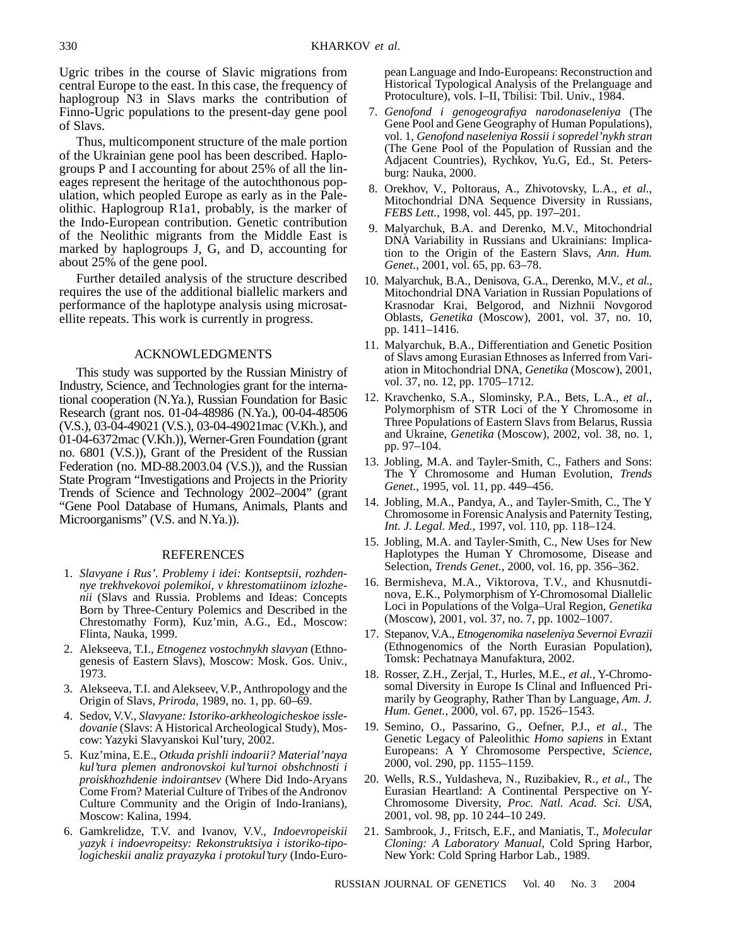Ugric tribes in the course of Slavic migrations from central Europe to the east. In this case, the frequency of haplogroup N3 in Slavs marks the contribution of Finno-Ugric populations to the present-day gene pool of Slavs.

Thus, multicomponent structure of the male portion of the Ukrainian gene pool has been described. Haplogroups P and I accounting for about 25% of all the lineages represent the heritage of the autochthonous population, which peopled Europe as early as in the Paleolithic. Haplogroup R1a1, probably, is the marker of the Indo-European contribution. Genetic contribution of the Neolithic migrants from the Middle East is marked by haplogroups J, G, and D, accounting for about 25% of the gene pool.

Further detailed analysis of the structure described requires the use of the additional biallelic markers and performance of the haplotype analysis using microsatellite repeats. This work is currently in progress.

#### ACKNOWLEDGMENTS

This study was supported by the Russian Ministry of Industry, Science, and Technologies grant for the international cooperation (N.Ya.), Russian Foundation for Basic Research (grant nos. 01-04-48986 (N.Ya.), 00-04-48506 (V.S.), 03-04-49021 (V.S.), 03-04-49021mac (V.Kh.), and 01-04-6372mac (V.Kh.)), Werner-Gren Foundation (grant no. 6801 (V.S.)), Grant of the President of the Russian Federation (no. MD-88.2003.04 (V.S.)), and the Russian State Program "Investigations and Projects in the Priority Trends of Science and Technology 2002–2004" (grant "Gene Pool Database of Humans, Animals, Plants and Microorganisms" (V.S. and N.Ya.)).

#### REFERENCES

- 1. *Slavyane i Rus'. Problemy i idei: Kontseptsii, rozhdennye trekhvekovoi polemikoi, v khrestomatiinom izlozhenii* (Slavs and Russia. Problems and Ideas: Concepts Born by Three-Century Polemics and Described in the Chrestomathy Form), Kuz'min, A.G., Ed., Moscow: Flinta, Nauka, 1999.
- 2. Alekseeva, T.I., *Etnogenez vostochnykh slavyan* (Ethnogenesis of Eastern Slavs), Moscow: Mosk. Gos. Univ., 1973.
- 3. Alekseeva, T.I. and Alekseev, V.P., Anthropology and the Origin of Slavs, *Priroda,* 1989, no. 1, pp. 60–69.
- 4. Sedov, V.V., *Slavyane: Istoriko-arkheologicheskoe issledovanie* (Slavs: A Historical Archeological Study), Moscow: Yazyki Slavyanskoi Kul'tury, 2002.
- 5. Kuz'mina, E.E., *Otkuda prishli indoarii? Material'naya kul'tura plemen andronovskoi kul'turnoi obshchnosti i proiskhozhdenie indoirantsev* (Where Did Indo-Aryans Come From? Material Culture of Tribes of the Andronov Culture Community and the Origin of Indo-Iranians), Moscow: Kalina, 1994.
- 6. Gamkrelidze, T.V. and Ivanov, V.V., *Indoevropeiskii yazyk i indoevropeitsy: Rekonstruktsiya i istoriko-tipologicheskii analiz prayazyka i protokul'tury* (Indo-Euro-

pean Language and Indo-Europeans: Reconstruction and Historical Typological Analysis of the Prelanguage and Protoculture), vols. I–II, Tbilisi: Tbil. Univ., 1984.

- 7. *Genofond i genogeografiya narodonaseleniya* (The Gene Pool and Gene Geography of Human Populations), vol. 1, *Genofond naseleniya Rossii i sopredel'nykh stran* (The Gene Pool of the Population of Russian and the Adjacent Countries), Rychkov, Yu.G, Ed., St. Petersburg: Nauka, 2000.
- 8. Orekhov, V., Poltoraus, A., Zhivotovsky, L.A., *et al.*, Mitochondrial DNA Sequence Diversity in Russians, *FEBS Lett.*, 1998, vol. 445, pp. 197–201.
- 9. Malyarchuk, B.A. and Derenko, M.V., Mitochondrial DNA Variability in Russians and Ukrainians: Implication to the Origin of the Eastern Slavs, *Ann. Hum. Genet.*, 2001, vol. 65, pp. 63–78.
- 10. Malyarchuk, B.A., Denisova, G.A., Derenko, M.V., *et al.*, Mitochondrial DNA Variation in Russian Populations of Krasnodar Krai, Belgorod, and Nizhnii Novgorod Oblasts, *Genetika* (Moscow), 2001, vol. 37, no. 10, pp. 1411–1416.
- 11. Malyarchuk, B.A., Differentiation and Genetic Position of Slavs among Eurasian Ethnoses as Inferred from Variation in Mitochondrial DNA, *Genetika* (Moscow), 2001, vol. 37, no. 12, pp. 1705–1712.
- 12. Kravchenko, S.A., Slominsky, P.A., Bets, L.A., *et al.*, Polymorphism of STR Loci of the Y Chromosome in Three Populations of Eastern Slavs from Belarus, Russia and Ukraine, *Genetika* (Moscow), 2002, vol. 38, no. 1, pp. 97–104.
- 13. Jobling, M.A. and Tayler-Smith, C., Fathers and Sons: The Y Chromosome and Human Evolution, *Trends Genet.*, 1995, vol. 11, pp. 449–456.
- 14. Jobling, M.A., Pandya, A., and Tayler-Smith, C., The Y Chromosome in Forensic Analysis and Paternity Testing, *Int. J. Legal. Med.*, 1997, vol. 110, pp. 118–124.
- 15. Jobling, M.A. and Tayler-Smith, C., New Uses for New Haplotypes the Human Y Chromosome, Disease and Selection, *Trends Genet.*, 2000, vol. 16, pp. 356–362.
- 16. Bermisheva, M.A., Viktorova, T.V., and Khusnutdinova, E.K., Polymorphism of Y-Chromosomal Diallelic Loci in Populations of the Volga–Ural Region, *Genetika* (Moscow), 2001, vol. 37, no. 7, pp. 1002–1007.
- 17. Stepanov, V.A., *Etnogenomika naseleniya Severnoi Evrazii* (Ethnogenomics of the North Eurasian Population), Tomsk: Pechatnaya Manufaktura, 2002.
- 18. Rosser, Z.H., Zerjal, T., Hurles, M.E., *et al.*, Y-Chromosomal Diversity in Europe Is Clinal and Influenced Primarily by Geography, Rather Than by Language, *Am. J. Hum. Genet.,* 2000, vol. 67, pp. 1526–1543.
- 19. Semino, O., Passarino, G., Oefner, P.J., *et al.*, The Genetic Legacy of Paleolithic *Homo sapiens* in Extant Europeans: A Y Chromosome Perspective, *Science,* 2000, vol. 290, pp. 1155–1159.
- 20. Wells, R.S., Yuldasheva, N., Ruzibakiev, R., *et al.*, The Eurasian Heartland: A Continental Perspective on Y-Chromosome Diversity, *Proc. Natl. Acad. Sci. USA*, 2001, vol. 98, pp. 10 244–10 249.
- 21. Sambrook, J., Fritsch, E.F., and Maniatis, T., *Molecular Cloning: A Laboratory Manual*, Cold Spring Harbor, New York: Cold Spring Harbor Lab., 1989.